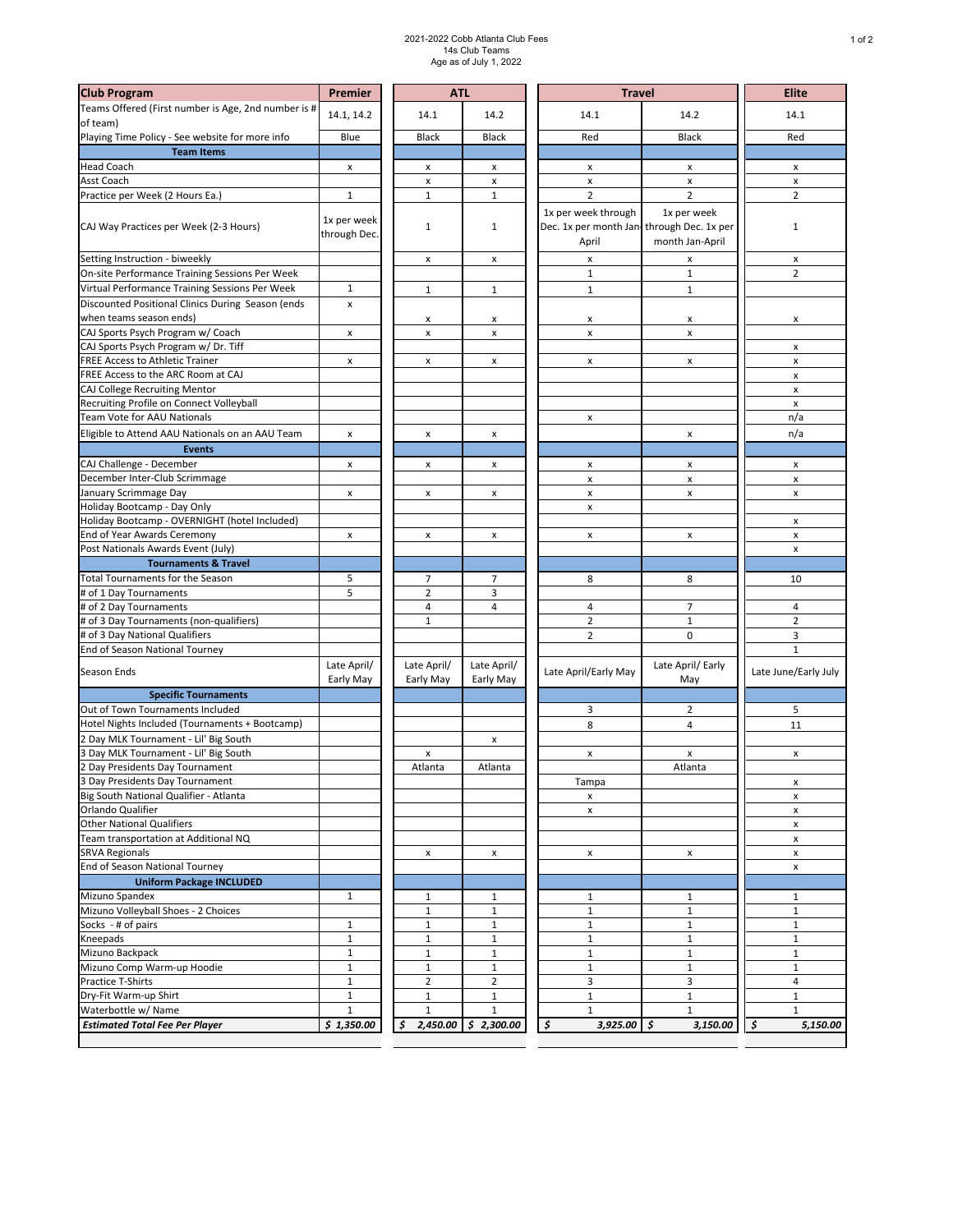## 2021-2022 Cobb Atlanta Club Fees 14s Club Teams Age as of July 1, 2022

| <b>Club Program</b>                                                       | Premier                     | <b>ATL</b>               |                          | <b>Travel</b>                                                             | <b>Elite</b>                   |                      |
|---------------------------------------------------------------------------|-----------------------------|--------------------------|--------------------------|---------------------------------------------------------------------------|--------------------------------|----------------------|
| Teams Offered (First number is Age, 2nd number is #<br>of team)           | 14.1, 14.2                  | 14.1                     | 14.2                     | 14.1                                                                      | 14.2                           | 14.1                 |
| Playing Time Policy - See website for more info                           | Blue                        | <b>Black</b>             | <b>Black</b>             | Red                                                                       | <b>Black</b>                   | Red                  |
| <b>Team Items</b>                                                         |                             |                          |                          |                                                                           |                                |                      |
| <b>Head Coach</b>                                                         | x                           | x                        | x                        | x                                                                         | x                              | x                    |
| Asst Coach                                                                |                             | x                        | $\pmb{\mathsf{x}}$       | $\pmb{\mathsf{x}}$                                                        | $\pmb{\mathsf{x}}$             | x                    |
| Practice per Week (2 Hours Ea.)                                           | $\mathbf 1$                 | $\mathbf{1}$             | 1                        | $\overline{2}$                                                            | $\overline{2}$                 | $\overline{2}$       |
| CAJ Way Practices per Week (2-3 Hours)                                    | 1x per week<br>through Dec. | $\mathbf{1}$             | 1                        | 1x per week through<br>Dec. 1x per month Jan-through Dec. 1x per<br>April | 1x per week<br>month Jan-April | $\mathbf 1$          |
| Setting Instruction - biweekly                                            |                             |                          |                          |                                                                           |                                |                      |
| On-site Performance Training Sessions Per Week                            |                             | x                        | x                        | x<br>$\mathbf 1$                                                          | x<br>$\mathbf 1$               | x<br>$\overline{2}$  |
| Virtual Performance Training Sessions Per Week                            | $\mathbf{1}$                | $\mathbf{1}$             | 1                        | $1\,$                                                                     | $\mathbf{1}$                   |                      |
| Discounted Positional Clinics During Season (ends                         | $\pmb{\times}$              |                          |                          |                                                                           |                                |                      |
| when teams season ends)                                                   |                             | x                        | X                        | x                                                                         | x                              | x                    |
| CAJ Sports Psych Program w/ Coach                                         | x                           | x                        | x                        | x                                                                         | x                              |                      |
| CAJ Sports Psych Program w/ Dr. Tiff                                      |                             |                          |                          |                                                                           |                                | x                    |
| FREE Access to Athletic Trainer                                           | $\pmb{\times}$              | x                        | x                        | x                                                                         | x                              | x                    |
| FREE Access to the ARC Room at CAJ                                        |                             |                          |                          |                                                                           |                                | x                    |
| CAJ College Recruiting Mentor                                             |                             |                          |                          |                                                                           |                                | x                    |
| Recruiting Profile on Connect Volleyball                                  |                             |                          |                          |                                                                           |                                | x                    |
| Team Vote for AAU Nationals                                               |                             |                          |                          | x                                                                         |                                | n/a                  |
| Eligible to Attend AAU Nationals on an AAU Team                           | x                           | x                        | x                        |                                                                           | x                              | n/a                  |
| <b>Events</b>                                                             |                             |                          |                          |                                                                           |                                |                      |
| CAJ Challenge - December                                                  | x                           | x                        | x                        | $\pmb{\times}$                                                            | x                              | x                    |
| December Inter-Club Scrimmage                                             |                             |                          |                          | X                                                                         | $\pmb{\mathsf{x}}$             | $\pmb{\mathsf{x}}$   |
| January Scrimmage Day                                                     | X                           | x                        | x                        | x                                                                         | x                              | $\pmb{\mathsf{x}}$   |
| Holiday Bootcamp - Day Only                                               |                             |                          |                          | X                                                                         |                                |                      |
| Holiday Bootcamp - OVERNIGHT (hotel Included)                             |                             |                          |                          |                                                                           |                                | x                    |
| End of Year Awards Ceremony                                               | x                           | x                        | x                        | x                                                                         | x                              | x                    |
| Post Nationals Awards Event (July)                                        |                             |                          |                          |                                                                           |                                | x                    |
| <b>Tournaments &amp; Travel</b>                                           |                             |                          |                          |                                                                           |                                |                      |
| Total Tournaments for the Season                                          | 5                           | 7                        | 7                        | 8                                                                         | 8                              | 10                   |
| # of 1 Day Tournaments                                                    | 5                           | $\overline{2}$           | 3                        |                                                                           |                                |                      |
| # of 2 Day Tournaments                                                    |                             | 4                        | 4                        | $\overline{4}$                                                            | 7                              | 4                    |
| # of 3 Day Tournaments (non-qualifiers)                                   |                             | $\mathbf 1$              |                          | $\overline{2}$                                                            | $1\,$                          | $\mathbf 2$          |
| # of 3 Day National Qualifiers                                            |                             |                          |                          | $\overline{2}$                                                            | $\pmb{0}$                      | 3                    |
| End of Season National Tourney                                            |                             |                          |                          |                                                                           |                                | $1\,$                |
| Season Ends                                                               | Late April/<br>Early May    | Late April/<br>Early May | Late April/<br>Early May | Late April/Early May                                                      | Late April/ Early<br>May       | Late June/Early July |
| <b>Specific Tournaments</b>                                               |                             |                          |                          |                                                                           |                                |                      |
| Out of Town Tournaments Included                                          |                             |                          |                          | 3                                                                         | $\overline{2}$                 | 5                    |
| Hotel Nights Included (Tournaments + Bootcamp)                            |                             |                          |                          | 8                                                                         | 4                              | 11                   |
| 2 Day MLK Tournament - Lil' Big South                                     |                             |                          | X                        |                                                                           |                                |                      |
| 3 Day MLK Tournament - Lil' Big South                                     |                             | x                        |                          | x                                                                         | x                              | x                    |
| Day Presidents Day Tournament                                             |                             | Atlanta                  | Atlanta                  | Tampa                                                                     | Atlanta                        |                      |
| 3 Day Presidents Day Tournament<br>Big South National Qualifier - Atlanta |                             |                          |                          |                                                                           |                                | х                    |
| Orlando Qualifier                                                         |                             |                          |                          | x<br>x                                                                    |                                | x<br>x               |
| <b>Other National Qualifiers</b>                                          |                             |                          |                          |                                                                           |                                | x                    |
| Team transportation at Additional NQ                                      |                             |                          |                          |                                                                           |                                | X                    |
| <b>SRVA Regionals</b>                                                     |                             | X                        | x                        | X                                                                         | X                              | x                    |
| End of Season National Tourney                                            |                             |                          |                          |                                                                           |                                | X                    |
| <b>Uniform Package INCLUDED</b>                                           |                             |                          |                          |                                                                           |                                |                      |
| Mizuno Spandex                                                            | $\mathbf{1}$                | $\mathbf{1}$             | 1                        | $\mathbf{1}$                                                              | $\mathbf{1}$                   | $\mathbf{1}$         |
| Mizuno Volleyball Shoes - 2 Choices                                       |                             | $\mathbf{1}$             | $\mathbf 1$              | $1\,$                                                                     | $\mathbf{1}$                   | $\mathbf{1}$         |
| Socks - # of pairs                                                        | 1                           | $1\,$                    | $\mathbf 1$              | $1\,$                                                                     | $\mathbf 1$                    | $\mathbf 1$          |
| Kneepads                                                                  | $\mathbf 1$                 | $\mathbf{1}$             | $\mathbf{1}$             | $1\,$                                                                     | $\mathbf{1}$                   | $\mathbf 1$          |
| Mizuno Backpack                                                           | $\mathbf 1$                 | $\mathbf{1}$             | $\mathbf 1$              | $1\,$                                                                     | $1\,$                          | $\mathbf{1}$         |
| Mizuno Comp Warm-up Hoodie                                                | $\mathbf 1$                 | $\mathbf{1}$             | $\mathbf{1}$             | $1\,$                                                                     | $\mathbf{1}$                   | $\mathbf{1}$         |
| Practice T-Shirts                                                         | $\mathbf 1$                 | $\overline{2}$           | $\overline{2}$           | 3                                                                         | 3                              | $\overline{4}$       |
| Dry-Fit Warm-up Shirt                                                     | $\mathbf 1$                 | $\mathbf{1}$             | 1                        | $1\,$                                                                     | $\mathbf{1}$                   | $\mathbf{1}$         |
| Waterbottle w/ Name                                                       | $\mathbf 1$                 | $\mathbf{1}$             | $\mathbf 1$              | $1\,$                                                                     | $\mathbf{1}$                   | $\mathbf 1$          |
| <b>Estimated Total Fee Per Player</b>                                     | \$1,350.00                  | \$                       | $2,450.00$ \$ 2,300.00   | $\boldsymbol{\mathsf{S}}$<br>3,925.00                                     | l \$<br>3,150.00               | \$<br>5,150.00       |
|                                                                           |                             |                          |                          |                                                                           |                                |                      |